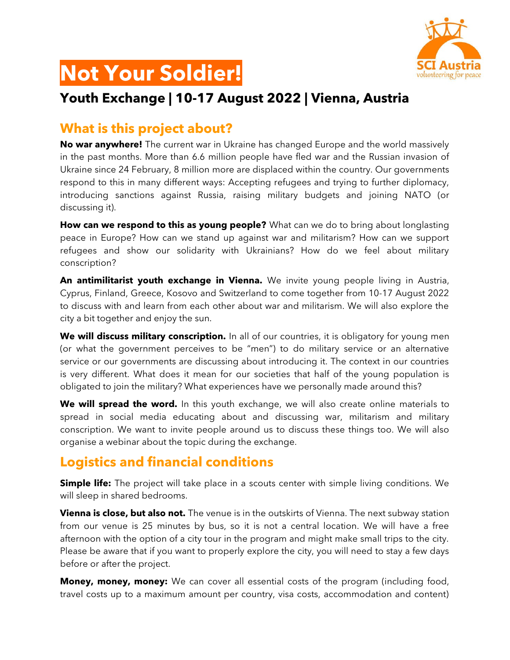

# **Not Your Soldier!**

#### **Youth Exchange | 10-17 August 2022 | Vienna, Austria**

#### **What is this project about?**

**No war anywhere!** The current war in Ukraine has changed Europe and the world massively in the past months. More than 6.6 million people have fled war and the Russian invasion of Ukraine since 24 February, 8 million more are displaced within the country. Our governments respond to this in many different ways: Accepting refugees and trying to further diplomacy, introducing sanctions against Russia, raising military budgets and joining NATO (or discussing it).

**How can we respond to this as young people?** What can we do to bring about longlasting peace in Europe? How can we stand up against war and militarism? How can we support refugees and show our solidarity with Ukrainians? How do we feel about military conscription?

**An antimilitarist youth exchange in Vienna.** We invite young people living in Austria, Cyprus, Finland, Greece, Kosovo and Switzerland to come together from 10-17 August 2022 to discuss with and learn from each other about war and militarism. We will also explore the city a bit together and enjoy the sun.

**We will discuss military conscription.** In all of our countries, it is obligatory for young men (or what the government perceives to be "men") to do military service or an alternative service or our governments are discussing about introducing it. The context in our countries is very different. What does it mean for our societies that half of the young population is obligated to join the military? What experiences have we personally made around this?

**We will spread the word.** In this youth exchange, we will also create online materials to spread in social media educating about and discussing war, militarism and military conscription. We want to invite people around us to discuss these things too. We will also organise a webinar about the topic during the exchange.

#### **Logistics and financial conditions**

**Simple life:** The project will take place in a scouts center with simple living conditions. We will sleep in shared bedrooms.

**Vienna is close, but also not.** The venue is in the outskirts of Vienna. The next subway station from our venue is 25 minutes by bus, so it is not a central location. We will have a free afternoon with the option of a city tour in the program and might make small trips to the city. Please be aware that if you want to properly explore the city, you will need to stay a few days before or after the project.

**Money, money, money:** We can cover all essential costs of the program (including food, travel costs up to a maximum amount per country, visa costs, accommodation and content)